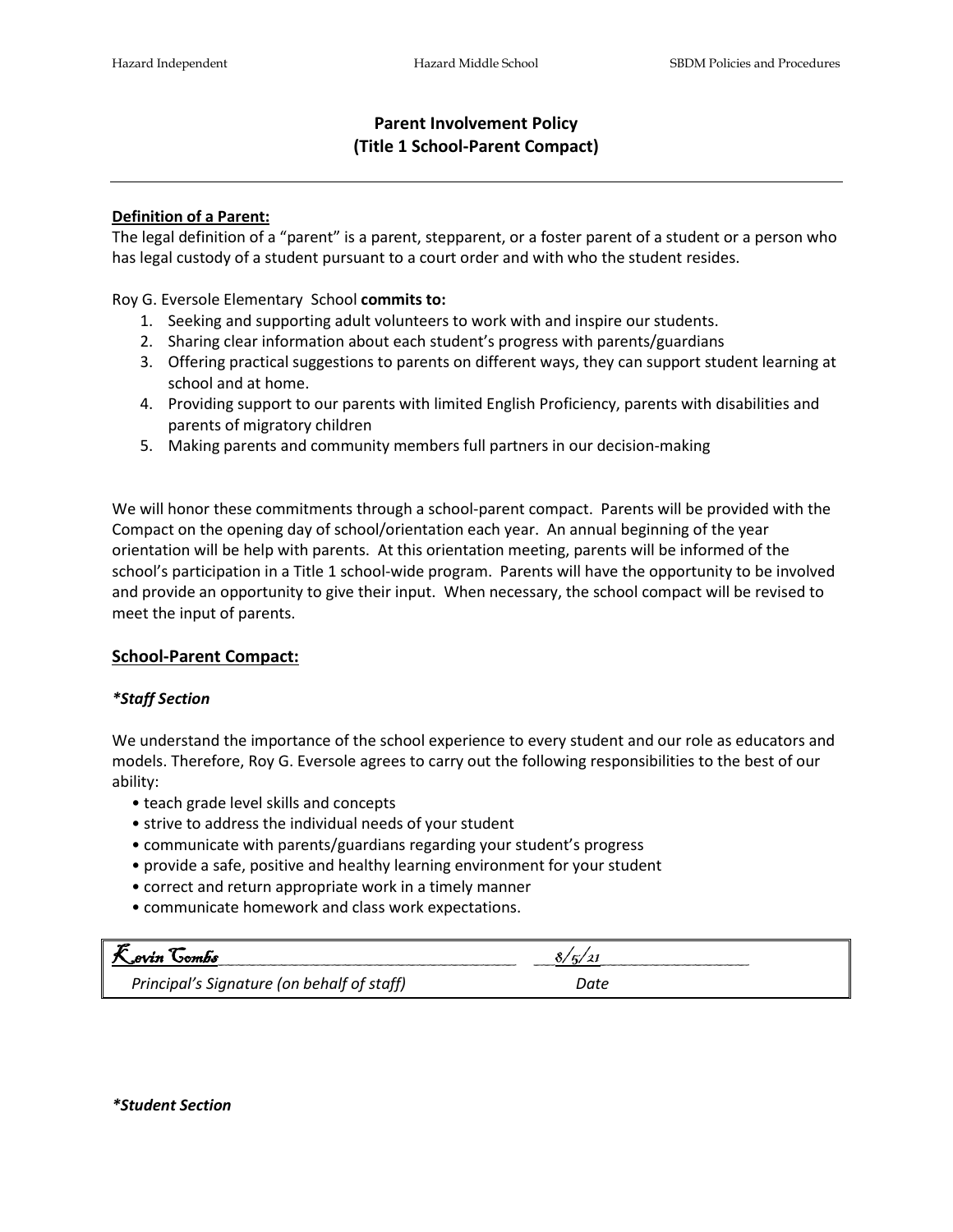# **Parent Involvement Policy (Title 1 School-Parent Compact)**

### **Definition of a Parent:**

The legal definition of a "parent" is a parent, stepparent, or a foster parent of a student or a person who has legal custody of a student pursuant to a court order and with who the student resides.

Roy G. Eversole Elementary School **commits to:**

- 1. Seeking and supporting adult volunteers to work with and inspire our students.
- 2. Sharing clear information about each student's progress with parents/guardians
- 3. Offering practical suggestions to parents on different ways, they can support student learning at school and at home.
- 4. Providing support to our parents with limited English Proficiency, parents with disabilities and parents of migratory children
- 5. Making parents and community members full partners in our decision-making

We will honor these commitments through a school-parent compact. Parents will be provided with the Compact on the opening day of school/orientation each year. An annual beginning of the year orientation will be help with parents. At this orientation meeting, parents will be informed of the school's participation in a Title 1 school-wide program. Parents will have the opportunity to be involved and provide an opportunity to give their input. When necessary, the school compact will be revised to meet the input of parents.

# **School-Parent Compact:**

#### *\*Staff Section*

We understand the importance of the school experience to every student and our role as educators and models. Therefore, Roy G. Eversole agrees to carry out the following responsibilities to the best of our ability:

- teach grade level skills and concepts
- strive to address the individual needs of your student
- communicate with parents/guardians regarding your student's progress
- provide a safe, positive and healthy learning environment for your student
- correct and return appropriate work in a timely manner
- communicate homework and class work expectations.

| <i><b>R</b>evin</i> Combs                  |      |  |
|--------------------------------------------|------|--|
| Principal's Signature (on behalf of staff) | Date |  |